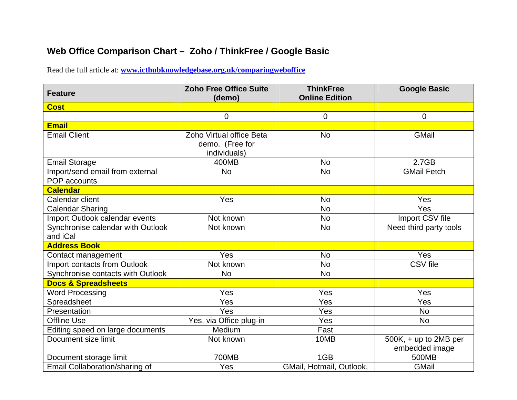## **Web Office Comparison Chart – Zoho / ThinkFree / Google Basic**

Read the full article at: **[www.icthubknowledgebase.org.uk/comparingweboffice](http://www.icthubknowledgebase.org.uk/comparingweboffice)**

| <b>Feature</b>                                  | <b>Zoho Free Office Suite</b><br>(demo)                     | <b>ThinkFree</b><br><b>Online Edition</b> | <b>Google Basic</b>                     |
|-------------------------------------------------|-------------------------------------------------------------|-------------------------------------------|-----------------------------------------|
| <b>Cost</b>                                     |                                                             |                                           |                                         |
|                                                 | $\overline{0}$                                              | $\mathbf 0$                               | $\mathbf 0$                             |
| <b>Email</b>                                    |                                                             |                                           |                                         |
| <b>Email Client</b>                             | Zoho Virtual office Beta<br>demo. (Free for<br>individuals) | <b>No</b>                                 | GMail                                   |
| <b>Email Storage</b>                            | 400MB                                                       | <b>No</b>                                 | 2.7GB                                   |
| Import/send email from external<br>POP accounts | <b>No</b>                                                   | <b>No</b>                                 | <b>GMail Fetch</b>                      |
| <b>Calendar</b>                                 |                                                             |                                           |                                         |
| Calendar client                                 | Yes                                                         | <b>No</b>                                 | Yes                                     |
| <b>Calendar Sharing</b>                         |                                                             | <b>No</b>                                 | Yes                                     |
| Import Outlook calendar events                  | Not known                                                   | <b>No</b>                                 | Import CSV file                         |
| Synchronise calendar with Outlook<br>and iCal   | Not known                                                   | <b>No</b>                                 | Need third party tools                  |
| <b>Address Book</b>                             |                                                             |                                           |                                         |
| Contact management                              | Yes                                                         | <b>No</b>                                 | Yes                                     |
| Import contacts from Outlook                    | Not known                                                   | <b>No</b>                                 | <b>CSV</b> file                         |
| Synchronise contacts with Outlook               | <b>No</b>                                                   | <b>No</b>                                 |                                         |
| <b>Docs &amp; Spreadsheets</b>                  |                                                             |                                           |                                         |
| <b>Word Processing</b>                          | Yes                                                         | Yes                                       | Yes                                     |
| Spreadsheet                                     | Yes                                                         | Yes                                       | Yes                                     |
| Presentation                                    | Yes                                                         | Yes                                       | <b>No</b>                               |
| <b>Offline Use</b>                              | Yes, via Office plug-in                                     | Yes                                       | <b>No</b>                               |
| Editing speed on large documents                | Medium                                                      | Fast                                      |                                         |
| Document size limit                             | Not known                                                   | 10MB                                      | 500K, + up to 2MB per<br>embedded image |
| Document storage limit                          | 700MB                                                       | 1GB                                       | 500MB                                   |
| Email Collaboration/sharing of                  | Yes                                                         | GMail, Hotmail, Outlook,                  | GMail                                   |